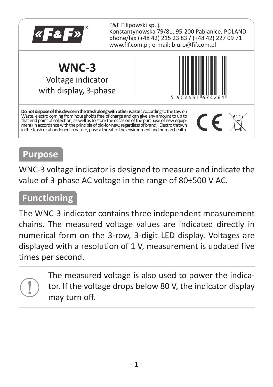

#### **Purpose**

WNC-3 voltage indicator is designed to measure and indicate the value of 3-phase AC voltage in the range of 80÷500 V AC.

### **Functioning**

The WNC-3 indicator contains three independent measurement chains. The measured voltage values are indicated directly in numerical form on the 3-row, 3-digit LED display. Voltages are displayed with a resolution of 1 V, measurement is updated five times per second.

> The measured voltage is also used to power the indicator. If the voltage drops below 80 V, the indicator display may turn off.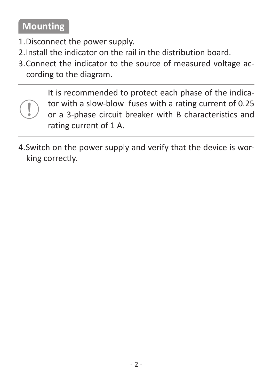### **Mounting**

- 1. Disconnect the power supply.
- 2. Install the indicator on the rail in the distribution board.
- 3. Connect the indicator to the source of measured voltage according to the diagram.

It is recommended to protect each phase of the indicator with a slow-blow fuses with a rating current of 0.25 or a 3-phase circuit breaker with B characteristics and rating current of 1 A.

4. Switch on the power supply and verify that the device is working correctly.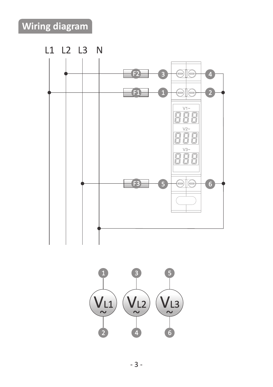# **Wiring diagram**